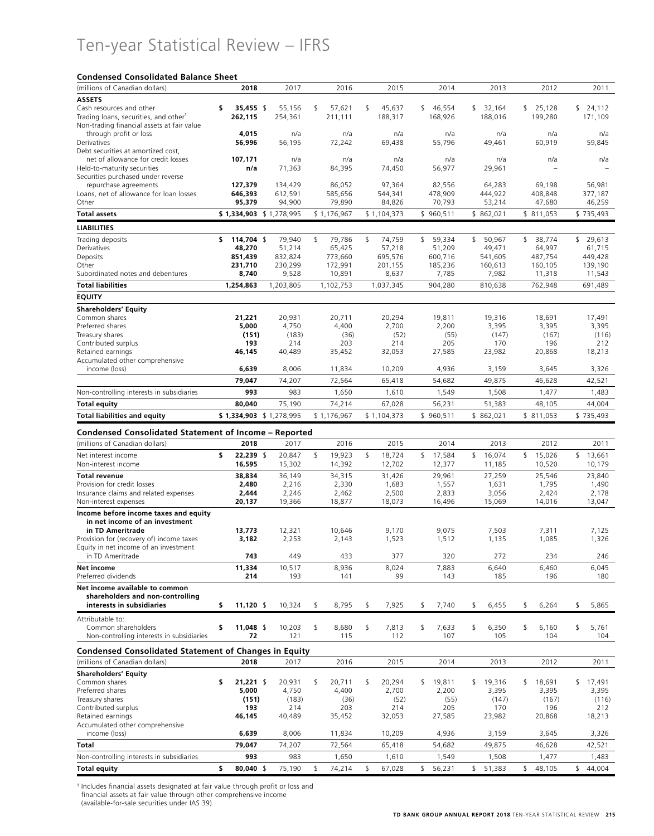# Ten-year Statistical Review – IFRS

### **Condensed Consolidated Balance Sheet**

| (millions of Canadian dollars)                                | 2018                      | 2017                    | 2016                   | 2015                   | 2014               | 2013                   | 2012               |    | 2011               |
|---------------------------------------------------------------|---------------------------|-------------------------|------------------------|------------------------|--------------------|------------------------|--------------------|----|--------------------|
| <b>ASSETS</b>                                                 |                           |                         |                        |                        |                    |                        |                    |    |                    |
| Cash resources and other                                      | \$<br>35,455 \$           | 55,156                  | \$<br>57,621           | \$<br>45,637           | \$<br>46,554       | \$32,164               | \$25,128           | s. | 24,112             |
| Trading loans, securities, and other <sup>1</sup>             | 262,115                   | 254,361                 | 211,111                | 188,317                | 168,926            | 188,016                | 199,280            |    | 171,109            |
| Non-trading financial assets at fair value                    |                           |                         |                        |                        |                    |                        |                    |    |                    |
| through profit or loss<br>Derivatives                         | 4,015<br>56,996           | n/a<br>56,195           | n/a<br>72,242          | n/a<br>69,438          | n/a<br>55,796      | n/a<br>49,461          | n/a<br>60,919      |    | n/a<br>59,845      |
| Debt securities at amortized cost,                            |                           |                         |                        |                        |                    |                        |                    |    |                    |
| net of allowance for credit losses                            | 107,171                   | n/a                     | n/a                    | n/a                    | n/a                | n/a                    | n/a                |    | n/a                |
| Held-to-maturity securities                                   | n/a                       | 71,363                  | 84,395                 | 74,450                 | 56,977             | 29,961                 |                    |    |                    |
| Securities purchased under reverse                            |                           |                         |                        |                        |                    |                        |                    |    |                    |
| repurchase agreements                                         | 127,379                   | 134,429                 | 86,052                 | 97,364                 | 82,556             | 64,283                 | 69,198             |    | 56,981             |
| Loans, net of allowance for loan losses<br>Other              | 646,393<br>95,379         | 612,591<br>94,900       | 585,656<br>79,890      | 544,341<br>84,826      | 478,909<br>70,793  | 444,922<br>53,214      | 408,848<br>47,680  |    | 377,187<br>46,259  |
|                                                               |                           |                         |                        |                        |                    |                        |                    |    |                    |
| <b>Total assets</b>                                           |                           | \$1,334,903 \$1,278,995 | \$1,176,967            | \$1,104,373            | \$960,511          | \$862,021              | \$811,053          |    | \$735,493          |
| <b>LIABILITIES</b>                                            |                           |                         |                        |                        |                    |                        |                    |    |                    |
| Trading deposits                                              | 114,704 \$<br>s           | 79,940                  | \$<br>79,786           | \$<br>74,759           | \$<br>59,334       | \$<br>50,967           | \$<br>38,774       |    | \$29,613           |
| Derivatives                                                   | 48,270                    | 51,214                  | 65,425                 | 57,218                 | 51,209             | 49,471                 | 64,997             |    | 61,715             |
| Deposits<br>Other                                             | 851,439<br>231,710        | 832,824<br>230,299      | 773,660<br>172,991     | 695,576<br>201,155     | 600,716<br>185,236 | 541,605<br>160,613     | 487,754<br>160,105 |    | 449,428<br>139,190 |
| Subordinated notes and debentures                             | 8,740                     | 9,528                   | 10,891                 | 8,637                  | 7,785              | 7,982                  | 11,318             |    | 11,543             |
| <b>Total liabilities</b>                                      | 1,254,863                 | 1,203,805               | 1,102,753              | 1,037,345              | 904,280            | 810,638                | 762,948            |    | 691,489            |
| <b>EQUITY</b>                                                 |                           |                         |                        |                        |                    |                        |                    |    |                    |
| <b>Shareholders' Equity</b>                                   |                           |                         |                        |                        |                    |                        |                    |    |                    |
| Common shares                                                 | 21,221                    | 20,931                  | 20,711                 | 20,294                 | 19.811             | 19,316                 | 18,691             |    | 17,491             |
| Preferred shares                                              | 5,000                     | 4,750                   | 4,400                  | 2,700                  | 2,200              | 3,395                  | 3,395              |    | 3,395              |
| Treasury shares                                               | (151)                     | (183)                   | (36)                   | (52)                   | (55)               | (147)                  | (167)              |    | (116)              |
| Contributed surplus                                           | 193                       | 214                     | 203                    | 214                    | 205                | 170                    | 196                |    | 212                |
| Retained earnings                                             | 46,145                    | 40,489                  | 35,452                 | 32,053                 | 27,585             | 23,982                 | 20,868             |    | 18,213             |
| Accumulated other comprehensive<br>income (loss)              | 6,639                     | 8,006                   | 11,834                 | 10,209                 | 4,936              | 3,159                  | 3,645              |    | 3,326              |
|                                                               | 79,047                    | 74,207                  | 72,564                 | 65,418                 | 54,682             | 49,875                 | 46,628             |    | 42,521             |
| Non-controlling interests in subsidiaries                     | 993                       | 983                     | 1,650                  | 1,610                  | 1,549              | 1,508                  | 1,477              |    | 1,483              |
| <b>Total equity</b>                                           | 80,040                    | 75,190                  | 74,214                 | 67,028                 | 56,231             | 51,383                 | 48,105             |    | 44,004             |
| <b>Total liabilities and equity</b>                           |                           | \$1,334,903 \$1,278,995 | \$1,176,967            | \$1,104,373            | \$960,511          | \$862,021              | \$811,053          |    | \$735,493          |
|                                                               |                           |                         |                        |                        |                    |                        |                    |    |                    |
| <b>Condensed Consolidated Statement of Income - Reported</b>  |                           |                         |                        |                        |                    |                        |                    |    |                    |
| (millions of Canadian dollars)                                | 2018                      | 2017                    | 2016                   | 2015                   | 2014               | 2013                   | 2012               |    | 2011               |
| Net interest income<br>Non-interest income                    | \$<br>22,239 \$<br>16,595 | 20,847<br>15,302        | \$<br>19,923<br>14,392 | \$<br>18,724<br>12,702 | \$17,584<br>12,377 | \$<br>16,074<br>11,185 | \$15,026<br>10,520 |    | \$13,661<br>10,179 |
|                                                               |                           |                         |                        |                        |                    |                        |                    |    |                    |
| <b>Total revenue</b><br>Provision for credit losses           | 38,834<br>2,480           | 36,149<br>2,216         | 34,315<br>2,330        | 31,426<br>1,683        | 29,961<br>1,557    | 27,259<br>1,631        | 25,546<br>1,795    |    | 23,840<br>1,490    |
| Insurance claims and related expenses                         | 2,444                     | 2,246                   | 2,462                  | 2,500                  | 2,833              | 3,056                  | 2,424              |    | 2,178              |
| Non-interest expenses                                         | 20,137                    | 19,366                  | 18,877                 | 18,073                 | 16,496             | 15,069                 | 14,016             |    | 13,047             |
| Income before income taxes and equity                         |                           |                         |                        |                        |                    |                        |                    |    |                    |
| in net income of an investment                                |                           |                         |                        |                        |                    |                        |                    |    |                    |
| in TD Ameritrade<br>Provision for (recovery of) income taxes  | 13,773<br>3,182           | 12,321<br>2,253         | 10,646<br>2,143        | 9,170<br>1,523         | 9,075<br>1,512     | 7,503<br>1,135         | 7,311<br>1,085     |    | 7,125<br>1,326     |
| Equity in net income of an investment                         |                           |                         |                        |                        |                    |                        |                    |    |                    |
| in TD Ameritrade                                              | 743                       | 449                     | 433                    | 377                    | 320                | 272                    | 234                |    | 246                |
| <b>Net income</b>                                             | 11,334                    | 10,517                  | 8,936                  | 8,024                  | 7,883              | 6,640                  | 6,460              |    | 6,045              |
| Preferred dividends                                           | 214                       | 193                     | 141                    | 99                     | 143                | 185                    | 196                |    | 180                |
| Net income available to common                                |                           |                         |                        |                        |                    |                        |                    |    |                    |
| shareholders and non-controlling<br>interests in subsidiaries | \$<br>11,120 \$           | 10,324                  | \$<br>8,795            | \$<br>7,925            | \$<br>7,740        | \$<br>6,455            | \$<br>6,264        | \$ | 5,865              |
|                                                               |                           |                         |                        |                        |                    |                        |                    |    |                    |
| Attributable to:<br>Common shareholders                       | 11,048 \$<br>\$           | 10,203                  | \$<br>8,680            | \$<br>7,813            | \$<br>7,633        | \$<br>6,350            | \$<br>6,160        | \$ | 5,761              |
| Non-controlling interests in subsidiaries                     | 72                        | 121                     | 115                    | 112                    | 107                | 105                    | 104                |    | 104                |
| <b>Condensed Consolidated Statement of Changes in Equity</b>  |                           |                         |                        |                        |                    |                        |                    |    |                    |
| (millions of Canadian dollars)                                | 2018                      | 2017                    | 2016                   | 2015                   | 2014               | 2013                   | 2012               |    | 2011               |
| <b>Shareholders' Equity</b>                                   |                           |                         |                        |                        |                    |                        |                    |    |                    |
| Common shares                                                 | \$<br>$21,221$ \$         | 20,931                  | \$<br>20,711           | \$<br>20,294           | \$<br>19,811       | \$<br>19,316           | \$<br>18,691       | \$ | 17,491             |
| Preferred shares                                              | 5,000                     | 4,750                   | 4,400                  | 2,700                  | 2,200              | 3,395                  | 3,395              |    | 3,395              |
| Treasury shares                                               | (151)                     | (183)                   | (36)                   | (52)                   | (55)               | (147)                  | (167)              |    | (116)              |
| Contributed surplus                                           | 193                       | 214                     | 203                    | 214                    | 205                | 170                    | 196                |    | 212                |
| Retained earnings<br>Accumulated other comprehensive          | 46,145                    | 40,489                  | 35,452                 | 32,053                 | 27,585             | 23,982                 | 20,868             |    | 18,213             |
| income (loss)                                                 | 6,639                     | 8,006                   | 11,834                 | 10,209                 | 4,936              | 3,159                  | 3,645              |    | 3,326              |
| Total                                                         | 79,047                    | 74,207                  | 72,564                 | 65,418                 | 54,682             | 49,875                 | 46,628             |    | 42,521             |
| Non-controlling interests in subsidiaries                     | 993                       | 983                     | 1,650                  | 1,610                  | 1,549              | 1,508                  | 1,477              |    | 1,483              |
| <b>Total equity</b>                                           | \$<br>80,040 \$           | 75,190                  | \$<br>74,214           | \$<br>67,028           | \$<br>56,231       | \$51,383               | \$48,105           |    | \$44,004           |

<sup>1</sup> Includes financial assets designated at fair value through profit or loss and financial assets at fair value through other comprehensive income

(available-for-sale securities under IAS 39).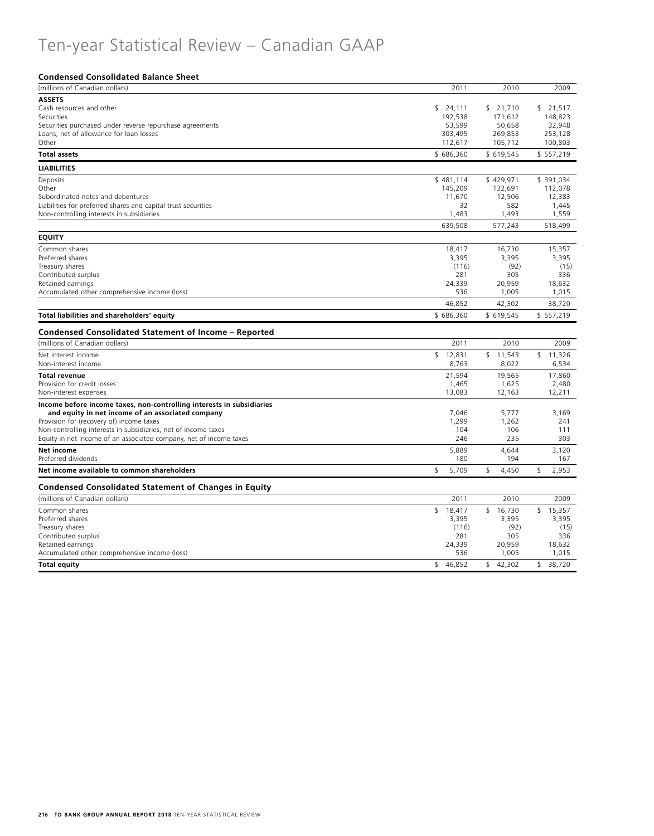# Ten-year Statistical Review – Canadian GAAP

### **Condensed Consolidated Balance Sheet**

| (millions of Canadian dollars)                                        | 2011        | 2010        | 2009          |
|-----------------------------------------------------------------------|-------------|-------------|---------------|
| <b>ASSETS</b>                                                         |             |             |               |
| Cash resources and other                                              | \$24,111    | \$21,710    | 21.517<br>\$. |
| Securities                                                            | 192,538     | 171,612     | 148,823       |
| Securities purchased under reverse repurchase agreements              | 53,599      | 50,658      | 32,948        |
| Loans, net of allowance for loan losses                               | 303,495     | 269,853     | 253,128       |
| Other                                                                 | 112,617     | 105,712     | 100,803       |
| <b>Total assets</b>                                                   | \$686,360   | \$619,545   | \$557,219     |
| <b>LIABILITIES</b>                                                    |             |             |               |
| Deposits                                                              | \$481,114   | \$429,971   | \$ 391,034    |
| Other                                                                 | 145,209     | 132,691     | 112,078       |
| Subordinated notes and debentures                                     | 11,670      | 12,506      | 12,383        |
| Liabilities for preferred shares and capital trust securities         | 32          | 582         | 1,445         |
| Non-controlling interests in subsidiaries                             | 1,483       | 1,493       | 1,559         |
|                                                                       | 639,508     | 577,243     | 518,499       |
| <b>EQUITY</b>                                                         |             |             |               |
| Common shares                                                         | 18,417      | 16,730      | 15.357        |
| Preferred shares                                                      | 3,395       | 3,395       | 3,395         |
| Treasury shares                                                       | (116)       | (92)        | (15)          |
| Contributed surplus                                                   | 281         | 305         | 336           |
| Retained earnings                                                     | 24,339      | 20,959      | 18,632        |
| Accumulated other comprehensive income (loss)                         | 536         | 1,005       | 1,015         |
|                                                                       | 46,852      | 42,302      | 38,720        |
| Total liabilities and shareholders' equity                            | \$686,360   | \$619,545   | \$557,219     |
| Condensed Consolidated Statement of Income - Reported                 |             |             |               |
| (millions of Canadian dollars)                                        | 2011        | 2010        | 2009          |
| Net interest income                                                   | \$12,831    | \$11,543    | \$11,326      |
| Non-interest income                                                   | 8,763       | 8,022       | 6,534         |
| <b>Total revenue</b>                                                  | 21,594      | 19.565      | 17.860        |
| Provision for credit losses                                           | 1,465       | 1,625       | 2,480         |
| Non-interest expenses                                                 | 13,083      | 12,163      | 12,211        |
| Income before income taxes, non-controlling interests in subsidiaries |             |             |               |
| and equity in net income of an associated company                     | 7.046       | 5.777       | 3.169         |
| Provision for (recovery of) income taxes                              | 1,299       | 1,262       | 241           |
| Non-controlling interests in subsidiaries, net of income taxes        | 104         | 106         | 111           |
| Equity in net income of an associated company, net of income taxes    | 246         | 235         | 303           |
| Net income                                                            | 5,889       | 4,644       | 3,120         |
| Preferred dividends                                                   | 180         | 194         | 167           |
| Net income available to common shareholders                           | \$<br>5,709 | \$<br>4,450 | \$<br>2,953   |
| <b>Condensed Consolidated Statement of Changes in Equity</b>          |             |             |               |
| (millions of Canadian dollars)                                        | 2011        | 2010        | 2009          |
| Common shares                                                         | \$18,417    | \$16,730    | \$15,357      |
| Preferred shares                                                      | 3,395       | 3,395       | 3,395         |
| Treasury shares                                                       | (116)       | (92)        | (15)          |
| Contributed surplus                                                   | 281         | 305         | 336           |
| Retained earnings                                                     | 24,339      | 20,959      | 18,632        |
| Accumulated other comprehensive income (loss)                         | 536         | 1,005       | 1,015         |
| <b>Total equity</b>                                                   | \$46,852    | \$42,302    | \$38,720      |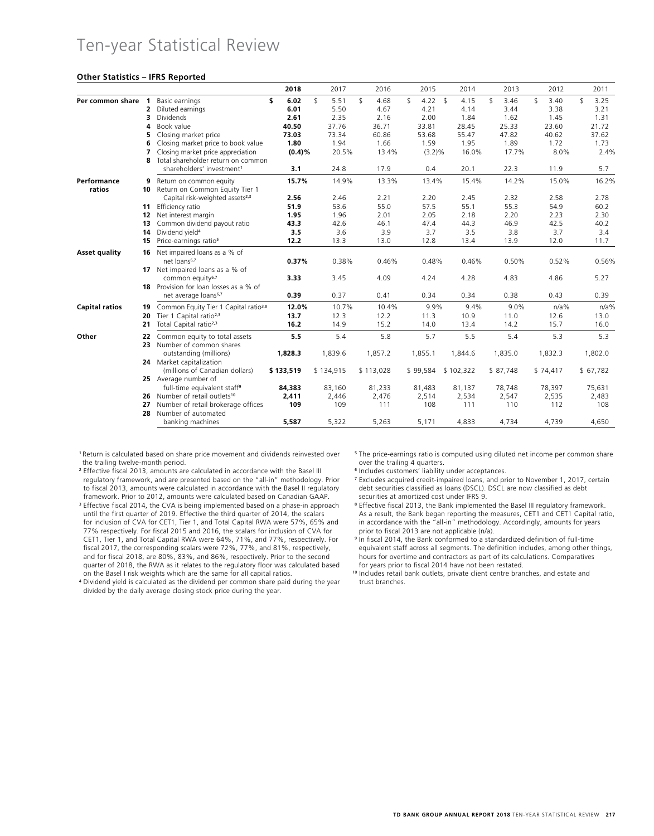## Ten-year Statistical Review

#### **Other Statistics – IFRS Reported**

| s<br>6.02<br>$\mathbf{S}$<br>\$<br>$4.22$ \$<br>\$<br>\$<br>$\mathbf{S}$<br>3.25<br>Per common share 1<br>5.51<br>4.68<br>\$<br>4.15<br>3.46<br>3.40<br>Basic earnings<br>6.01<br>5.50<br>4.14<br>3.44<br>3.38<br>3.21<br>$\overline{2}$<br>Diluted earnings<br>4.67<br>4.21<br>Dividends<br>2.61<br>2.35<br>2.00<br>1.84<br>1.62<br>1.31<br>3<br>2.16<br>1.45<br>40.50<br>37.76<br>36.71<br>25.33<br>23.60<br>21.72<br>Book value<br>33.81<br>28.45<br>4<br>Closing market price<br>73.34<br>47.82<br>40.62<br>37.62<br>73.03<br>60.86<br>53.68<br>55.47<br>5<br>1.80<br>1.94<br>1.66<br>1.95<br>1.89<br>1.72<br>1.73<br>Closing market price to book value<br>1.59<br>6<br>$(0.4)\%$<br>20.5%<br>16.0%<br>17.7%<br>8.0%<br>2.4%<br>Closing market price appreciation<br>13.4%<br>$(3.2)\%$<br>7<br>Total shareholder return on common<br>8<br>17.9<br>22.3<br>5.7<br>shareholders' investment <sup>1</sup><br>3.1<br>24.8<br>0.4<br>20.1<br>11.9<br>15.7%<br>14.9%<br>13.3%<br>13.4%<br>15.4%<br>14.2%<br>15.0%<br>Return on common equity<br>9<br>ratios<br>Return on Common Equity Tier 1<br>10<br>Capital risk-weighted assets <sup>2,3</sup><br>2.56<br>2.46<br>2.21<br>2.20<br>2.45<br>2.32<br>2.58<br>2.78<br>57.5<br>55.3<br>Efficiency ratio<br>51.9<br>53.6<br>55.0<br>55.1<br>54.9<br>60.2<br>11<br>1.95<br>1.96<br>2.01<br>2.05<br>2.18<br>2.20<br>2.23<br>2.30<br>Net interest margin<br>12<br>Common dividend payout ratio<br>43.3<br>42.6<br>47.4<br>44.3<br>46.9<br>42.5<br>40.2<br>46.1<br>13<br>Dividend yield <sup>4</sup><br>3.5<br>3.6<br>3.7<br>3.5<br>3.8<br>3.7<br>3.9<br>3.4<br>14<br>Price-earnings ratio <sup>5</sup><br>12.2<br>13.3<br>13.0<br>12.8<br>13.4<br>13.9<br>12.0<br>11.7<br>15<br>Net impaired loans as a % of<br><b>Asset quality</b><br>16<br>net loans <sup>6,7</sup><br>0.37%<br>0.38%<br>0.46%<br>0.50%<br>0.48%<br>0.46%<br>0.52%<br>0.56%<br>17 Net impaired loans as a % of<br>common equity <sup>6,7</sup><br>3.45<br>4.83<br>4.86<br>5.27<br>3.33<br>4.09<br>4.24<br>4.28<br>Provision for loan losses as a % of<br>18<br>0.39<br>net average loans <sup>6,7</sup><br>0.37<br>0.41<br>0.34<br>0.34<br>0.38<br>0.43<br>0.39<br>Common Equity Tier 1 Capital ratio <sup>3,8</sup><br>12.0%<br>10.7%<br>10.4%<br>9.9%<br>9.4%<br>9.0%<br>$n/a$ %<br>$n/a$ %<br>19<br>Tier 1 Capital ratio <sup>2,3</sup><br>12.2<br>11.3<br>13.7<br>12.3<br>10.9<br>11.0<br>12.6<br>13.0<br>20<br>Total Capital ratio <sup>2,3</sup><br>16.2<br>14.9<br>15.2<br>13.4<br>14.2<br>15.7<br>16.0<br>21<br>14.0<br>5.5<br>5.4<br>5.8<br>5.7<br>5.5<br>5.4<br>5.3<br>5.3<br>Common equity to total assets<br>22<br>Number of common shares<br>23<br>1,828.3<br>1.839.6<br>1,857.2<br>1,855.1<br>1.835.0<br>1,832.3<br>1.802.0<br>outstanding (millions)<br>1.844.6<br>24 Market capitalization<br>(millions of Canadian dollars)<br>\$133,519<br>\$134,915<br>\$113,028<br>\$99,584<br>\$102,322<br>\$87,748<br>\$74,417<br>\$67,782<br>25 Average number of<br>full-time equivalent staff <sup>9</sup><br>84,383<br>83,160<br>81,233<br>81,483<br>81,137<br>78,748<br>78,397<br>75,631<br>26 Number of retail outlets <sup>10</sup><br>2,514<br>2,534<br>2,547<br>2,535<br>2,411<br>2,446<br>2,476<br>2,483<br>Number of retail brokerage offices<br>109<br>109<br>110<br>112<br>111<br>108<br>111<br>108<br>27<br>Number of automated<br>28<br>banking machines<br>5,587<br>5,322<br>5,171<br>4,739<br>4,650<br>5,263<br>4,833<br>4,734 |                       |  | 2018 | 2017 | 2016 | 2015 | 2014 | 2013 | 2012 | 2011 |
|---------------------------------------------------------------------------------------------------------------------------------------------------------------------------------------------------------------------------------------------------------------------------------------------------------------------------------------------------------------------------------------------------------------------------------------------------------------------------------------------------------------------------------------------------------------------------------------------------------------------------------------------------------------------------------------------------------------------------------------------------------------------------------------------------------------------------------------------------------------------------------------------------------------------------------------------------------------------------------------------------------------------------------------------------------------------------------------------------------------------------------------------------------------------------------------------------------------------------------------------------------------------------------------------------------------------------------------------------------------------------------------------------------------------------------------------------------------------------------------------------------------------------------------------------------------------------------------------------------------------------------------------------------------------------------------------------------------------------------------------------------------------------------------------------------------------------------------------------------------------------------------------------------------------------------------------------------------------------------------------------------------------------------------------------------------------------------------------------------------------------------------------------------------------------------------------------------------------------------------------------------------------------------------------------------------------------------------------------------------------------------------------------------------------------------------------------------------------------------------------------------------------------------------------------------------------------------------------------------------------------------------------------------------------------------------------------------------------------------------------------------------------------------------------------------------------------------------------------------------------------------------------------------------------------------------------------------------------------------------------------------------------------------------------------------------------------------------------------------------------------------------------------------------------------------------------------------------------------------------------------------------------------------------------------------------------------------------------------------------------------------------------------------------------------------------------------------------------|-----------------------|--|------|------|------|------|------|------|------|------|
| 16.2%                                                                                                                                                                                                                                                                                                                                                                                                                                                                                                                                                                                                                                                                                                                                                                                                                                                                                                                                                                                                                                                                                                                                                                                                                                                                                                                                                                                                                                                                                                                                                                                                                                                                                                                                                                                                                                                                                                                                                                                                                                                                                                                                                                                                                                                                                                                                                                                                                                                                                                                                                                                                                                                                                                                                                                                                                                                                                                                                                                                                                                                                                                                                                                                                                                                                                                                                                                                                                                                               |                       |  |      |      |      |      |      |      |      |      |
|                                                                                                                                                                                                                                                                                                                                                                                                                                                                                                                                                                                                                                                                                                                                                                                                                                                                                                                                                                                                                                                                                                                                                                                                                                                                                                                                                                                                                                                                                                                                                                                                                                                                                                                                                                                                                                                                                                                                                                                                                                                                                                                                                                                                                                                                                                                                                                                                                                                                                                                                                                                                                                                                                                                                                                                                                                                                                                                                                                                                                                                                                                                                                                                                                                                                                                                                                                                                                                                                     |                       |  |      |      |      |      |      |      |      |      |
|                                                                                                                                                                                                                                                                                                                                                                                                                                                                                                                                                                                                                                                                                                                                                                                                                                                                                                                                                                                                                                                                                                                                                                                                                                                                                                                                                                                                                                                                                                                                                                                                                                                                                                                                                                                                                                                                                                                                                                                                                                                                                                                                                                                                                                                                                                                                                                                                                                                                                                                                                                                                                                                                                                                                                                                                                                                                                                                                                                                                                                                                                                                                                                                                                                                                                                                                                                                                                                                                     |                       |  |      |      |      |      |      |      |      |      |
|                                                                                                                                                                                                                                                                                                                                                                                                                                                                                                                                                                                                                                                                                                                                                                                                                                                                                                                                                                                                                                                                                                                                                                                                                                                                                                                                                                                                                                                                                                                                                                                                                                                                                                                                                                                                                                                                                                                                                                                                                                                                                                                                                                                                                                                                                                                                                                                                                                                                                                                                                                                                                                                                                                                                                                                                                                                                                                                                                                                                                                                                                                                                                                                                                                                                                                                                                                                                                                                                     |                       |  |      |      |      |      |      |      |      |      |
|                                                                                                                                                                                                                                                                                                                                                                                                                                                                                                                                                                                                                                                                                                                                                                                                                                                                                                                                                                                                                                                                                                                                                                                                                                                                                                                                                                                                                                                                                                                                                                                                                                                                                                                                                                                                                                                                                                                                                                                                                                                                                                                                                                                                                                                                                                                                                                                                                                                                                                                                                                                                                                                                                                                                                                                                                                                                                                                                                                                                                                                                                                                                                                                                                                                                                                                                                                                                                                                                     |                       |  |      |      |      |      |      |      |      |      |
|                                                                                                                                                                                                                                                                                                                                                                                                                                                                                                                                                                                                                                                                                                                                                                                                                                                                                                                                                                                                                                                                                                                                                                                                                                                                                                                                                                                                                                                                                                                                                                                                                                                                                                                                                                                                                                                                                                                                                                                                                                                                                                                                                                                                                                                                                                                                                                                                                                                                                                                                                                                                                                                                                                                                                                                                                                                                                                                                                                                                                                                                                                                                                                                                                                                                                                                                                                                                                                                                     |                       |  |      |      |      |      |      |      |      |      |
|                                                                                                                                                                                                                                                                                                                                                                                                                                                                                                                                                                                                                                                                                                                                                                                                                                                                                                                                                                                                                                                                                                                                                                                                                                                                                                                                                                                                                                                                                                                                                                                                                                                                                                                                                                                                                                                                                                                                                                                                                                                                                                                                                                                                                                                                                                                                                                                                                                                                                                                                                                                                                                                                                                                                                                                                                                                                                                                                                                                                                                                                                                                                                                                                                                                                                                                                                                                                                                                                     |                       |  |      |      |      |      |      |      |      |      |
|                                                                                                                                                                                                                                                                                                                                                                                                                                                                                                                                                                                                                                                                                                                                                                                                                                                                                                                                                                                                                                                                                                                                                                                                                                                                                                                                                                                                                                                                                                                                                                                                                                                                                                                                                                                                                                                                                                                                                                                                                                                                                                                                                                                                                                                                                                                                                                                                                                                                                                                                                                                                                                                                                                                                                                                                                                                                                                                                                                                                                                                                                                                                                                                                                                                                                                                                                                                                                                                                     |                       |  |      |      |      |      |      |      |      |      |
|                                                                                                                                                                                                                                                                                                                                                                                                                                                                                                                                                                                                                                                                                                                                                                                                                                                                                                                                                                                                                                                                                                                                                                                                                                                                                                                                                                                                                                                                                                                                                                                                                                                                                                                                                                                                                                                                                                                                                                                                                                                                                                                                                                                                                                                                                                                                                                                                                                                                                                                                                                                                                                                                                                                                                                                                                                                                                                                                                                                                                                                                                                                                                                                                                                                                                                                                                                                                                                                                     |                       |  |      |      |      |      |      |      |      |      |
|                                                                                                                                                                                                                                                                                                                                                                                                                                                                                                                                                                                                                                                                                                                                                                                                                                                                                                                                                                                                                                                                                                                                                                                                                                                                                                                                                                                                                                                                                                                                                                                                                                                                                                                                                                                                                                                                                                                                                                                                                                                                                                                                                                                                                                                                                                                                                                                                                                                                                                                                                                                                                                                                                                                                                                                                                                                                                                                                                                                                                                                                                                                                                                                                                                                                                                                                                                                                                                                                     | Performance           |  |      |      |      |      |      |      |      |      |
|                                                                                                                                                                                                                                                                                                                                                                                                                                                                                                                                                                                                                                                                                                                                                                                                                                                                                                                                                                                                                                                                                                                                                                                                                                                                                                                                                                                                                                                                                                                                                                                                                                                                                                                                                                                                                                                                                                                                                                                                                                                                                                                                                                                                                                                                                                                                                                                                                                                                                                                                                                                                                                                                                                                                                                                                                                                                                                                                                                                                                                                                                                                                                                                                                                                                                                                                                                                                                                                                     |                       |  |      |      |      |      |      |      |      |      |
|                                                                                                                                                                                                                                                                                                                                                                                                                                                                                                                                                                                                                                                                                                                                                                                                                                                                                                                                                                                                                                                                                                                                                                                                                                                                                                                                                                                                                                                                                                                                                                                                                                                                                                                                                                                                                                                                                                                                                                                                                                                                                                                                                                                                                                                                                                                                                                                                                                                                                                                                                                                                                                                                                                                                                                                                                                                                                                                                                                                                                                                                                                                                                                                                                                                                                                                                                                                                                                                                     |                       |  |      |      |      |      |      |      |      |      |
|                                                                                                                                                                                                                                                                                                                                                                                                                                                                                                                                                                                                                                                                                                                                                                                                                                                                                                                                                                                                                                                                                                                                                                                                                                                                                                                                                                                                                                                                                                                                                                                                                                                                                                                                                                                                                                                                                                                                                                                                                                                                                                                                                                                                                                                                                                                                                                                                                                                                                                                                                                                                                                                                                                                                                                                                                                                                                                                                                                                                                                                                                                                                                                                                                                                                                                                                                                                                                                                                     |                       |  |      |      |      |      |      |      |      |      |
|                                                                                                                                                                                                                                                                                                                                                                                                                                                                                                                                                                                                                                                                                                                                                                                                                                                                                                                                                                                                                                                                                                                                                                                                                                                                                                                                                                                                                                                                                                                                                                                                                                                                                                                                                                                                                                                                                                                                                                                                                                                                                                                                                                                                                                                                                                                                                                                                                                                                                                                                                                                                                                                                                                                                                                                                                                                                                                                                                                                                                                                                                                                                                                                                                                                                                                                                                                                                                                                                     |                       |  |      |      |      |      |      |      |      |      |
|                                                                                                                                                                                                                                                                                                                                                                                                                                                                                                                                                                                                                                                                                                                                                                                                                                                                                                                                                                                                                                                                                                                                                                                                                                                                                                                                                                                                                                                                                                                                                                                                                                                                                                                                                                                                                                                                                                                                                                                                                                                                                                                                                                                                                                                                                                                                                                                                                                                                                                                                                                                                                                                                                                                                                                                                                                                                                                                                                                                                                                                                                                                                                                                                                                                                                                                                                                                                                                                                     |                       |  |      |      |      |      |      |      |      |      |
|                                                                                                                                                                                                                                                                                                                                                                                                                                                                                                                                                                                                                                                                                                                                                                                                                                                                                                                                                                                                                                                                                                                                                                                                                                                                                                                                                                                                                                                                                                                                                                                                                                                                                                                                                                                                                                                                                                                                                                                                                                                                                                                                                                                                                                                                                                                                                                                                                                                                                                                                                                                                                                                                                                                                                                                                                                                                                                                                                                                                                                                                                                                                                                                                                                                                                                                                                                                                                                                                     |                       |  |      |      |      |      |      |      |      |      |
|                                                                                                                                                                                                                                                                                                                                                                                                                                                                                                                                                                                                                                                                                                                                                                                                                                                                                                                                                                                                                                                                                                                                                                                                                                                                                                                                                                                                                                                                                                                                                                                                                                                                                                                                                                                                                                                                                                                                                                                                                                                                                                                                                                                                                                                                                                                                                                                                                                                                                                                                                                                                                                                                                                                                                                                                                                                                                                                                                                                                                                                                                                                                                                                                                                                                                                                                                                                                                                                                     |                       |  |      |      |      |      |      |      |      |      |
|                                                                                                                                                                                                                                                                                                                                                                                                                                                                                                                                                                                                                                                                                                                                                                                                                                                                                                                                                                                                                                                                                                                                                                                                                                                                                                                                                                                                                                                                                                                                                                                                                                                                                                                                                                                                                                                                                                                                                                                                                                                                                                                                                                                                                                                                                                                                                                                                                                                                                                                                                                                                                                                                                                                                                                                                                                                                                                                                                                                                                                                                                                                                                                                                                                                                                                                                                                                                                                                                     |                       |  |      |      |      |      |      |      |      |      |
|                                                                                                                                                                                                                                                                                                                                                                                                                                                                                                                                                                                                                                                                                                                                                                                                                                                                                                                                                                                                                                                                                                                                                                                                                                                                                                                                                                                                                                                                                                                                                                                                                                                                                                                                                                                                                                                                                                                                                                                                                                                                                                                                                                                                                                                                                                                                                                                                                                                                                                                                                                                                                                                                                                                                                                                                                                                                                                                                                                                                                                                                                                                                                                                                                                                                                                                                                                                                                                                                     |                       |  |      |      |      |      |      |      |      |      |
|                                                                                                                                                                                                                                                                                                                                                                                                                                                                                                                                                                                                                                                                                                                                                                                                                                                                                                                                                                                                                                                                                                                                                                                                                                                                                                                                                                                                                                                                                                                                                                                                                                                                                                                                                                                                                                                                                                                                                                                                                                                                                                                                                                                                                                                                                                                                                                                                                                                                                                                                                                                                                                                                                                                                                                                                                                                                                                                                                                                                                                                                                                                                                                                                                                                                                                                                                                                                                                                                     |                       |  |      |      |      |      |      |      |      |      |
|                                                                                                                                                                                                                                                                                                                                                                                                                                                                                                                                                                                                                                                                                                                                                                                                                                                                                                                                                                                                                                                                                                                                                                                                                                                                                                                                                                                                                                                                                                                                                                                                                                                                                                                                                                                                                                                                                                                                                                                                                                                                                                                                                                                                                                                                                                                                                                                                                                                                                                                                                                                                                                                                                                                                                                                                                                                                                                                                                                                                                                                                                                                                                                                                                                                                                                                                                                                                                                                                     |                       |  |      |      |      |      |      |      |      |      |
|                                                                                                                                                                                                                                                                                                                                                                                                                                                                                                                                                                                                                                                                                                                                                                                                                                                                                                                                                                                                                                                                                                                                                                                                                                                                                                                                                                                                                                                                                                                                                                                                                                                                                                                                                                                                                                                                                                                                                                                                                                                                                                                                                                                                                                                                                                                                                                                                                                                                                                                                                                                                                                                                                                                                                                                                                                                                                                                                                                                                                                                                                                                                                                                                                                                                                                                                                                                                                                                                     |                       |  |      |      |      |      |      |      |      |      |
|                                                                                                                                                                                                                                                                                                                                                                                                                                                                                                                                                                                                                                                                                                                                                                                                                                                                                                                                                                                                                                                                                                                                                                                                                                                                                                                                                                                                                                                                                                                                                                                                                                                                                                                                                                                                                                                                                                                                                                                                                                                                                                                                                                                                                                                                                                                                                                                                                                                                                                                                                                                                                                                                                                                                                                                                                                                                                                                                                                                                                                                                                                                                                                                                                                                                                                                                                                                                                                                                     |                       |  |      |      |      |      |      |      |      |      |
|                                                                                                                                                                                                                                                                                                                                                                                                                                                                                                                                                                                                                                                                                                                                                                                                                                                                                                                                                                                                                                                                                                                                                                                                                                                                                                                                                                                                                                                                                                                                                                                                                                                                                                                                                                                                                                                                                                                                                                                                                                                                                                                                                                                                                                                                                                                                                                                                                                                                                                                                                                                                                                                                                                                                                                                                                                                                                                                                                                                                                                                                                                                                                                                                                                                                                                                                                                                                                                                                     | <b>Capital ratios</b> |  |      |      |      |      |      |      |      |      |
|                                                                                                                                                                                                                                                                                                                                                                                                                                                                                                                                                                                                                                                                                                                                                                                                                                                                                                                                                                                                                                                                                                                                                                                                                                                                                                                                                                                                                                                                                                                                                                                                                                                                                                                                                                                                                                                                                                                                                                                                                                                                                                                                                                                                                                                                                                                                                                                                                                                                                                                                                                                                                                                                                                                                                                                                                                                                                                                                                                                                                                                                                                                                                                                                                                                                                                                                                                                                                                                                     |                       |  |      |      |      |      |      |      |      |      |
|                                                                                                                                                                                                                                                                                                                                                                                                                                                                                                                                                                                                                                                                                                                                                                                                                                                                                                                                                                                                                                                                                                                                                                                                                                                                                                                                                                                                                                                                                                                                                                                                                                                                                                                                                                                                                                                                                                                                                                                                                                                                                                                                                                                                                                                                                                                                                                                                                                                                                                                                                                                                                                                                                                                                                                                                                                                                                                                                                                                                                                                                                                                                                                                                                                                                                                                                                                                                                                                                     |                       |  |      |      |      |      |      |      |      |      |
|                                                                                                                                                                                                                                                                                                                                                                                                                                                                                                                                                                                                                                                                                                                                                                                                                                                                                                                                                                                                                                                                                                                                                                                                                                                                                                                                                                                                                                                                                                                                                                                                                                                                                                                                                                                                                                                                                                                                                                                                                                                                                                                                                                                                                                                                                                                                                                                                                                                                                                                                                                                                                                                                                                                                                                                                                                                                                                                                                                                                                                                                                                                                                                                                                                                                                                                                                                                                                                                                     | Other                 |  |      |      |      |      |      |      |      |      |
|                                                                                                                                                                                                                                                                                                                                                                                                                                                                                                                                                                                                                                                                                                                                                                                                                                                                                                                                                                                                                                                                                                                                                                                                                                                                                                                                                                                                                                                                                                                                                                                                                                                                                                                                                                                                                                                                                                                                                                                                                                                                                                                                                                                                                                                                                                                                                                                                                                                                                                                                                                                                                                                                                                                                                                                                                                                                                                                                                                                                                                                                                                                                                                                                                                                                                                                                                                                                                                                                     |                       |  |      |      |      |      |      |      |      |      |
|                                                                                                                                                                                                                                                                                                                                                                                                                                                                                                                                                                                                                                                                                                                                                                                                                                                                                                                                                                                                                                                                                                                                                                                                                                                                                                                                                                                                                                                                                                                                                                                                                                                                                                                                                                                                                                                                                                                                                                                                                                                                                                                                                                                                                                                                                                                                                                                                                                                                                                                                                                                                                                                                                                                                                                                                                                                                                                                                                                                                                                                                                                                                                                                                                                                                                                                                                                                                                                                                     |                       |  |      |      |      |      |      |      |      |      |
|                                                                                                                                                                                                                                                                                                                                                                                                                                                                                                                                                                                                                                                                                                                                                                                                                                                                                                                                                                                                                                                                                                                                                                                                                                                                                                                                                                                                                                                                                                                                                                                                                                                                                                                                                                                                                                                                                                                                                                                                                                                                                                                                                                                                                                                                                                                                                                                                                                                                                                                                                                                                                                                                                                                                                                                                                                                                                                                                                                                                                                                                                                                                                                                                                                                                                                                                                                                                                                                                     |                       |  |      |      |      |      |      |      |      |      |
|                                                                                                                                                                                                                                                                                                                                                                                                                                                                                                                                                                                                                                                                                                                                                                                                                                                                                                                                                                                                                                                                                                                                                                                                                                                                                                                                                                                                                                                                                                                                                                                                                                                                                                                                                                                                                                                                                                                                                                                                                                                                                                                                                                                                                                                                                                                                                                                                                                                                                                                                                                                                                                                                                                                                                                                                                                                                                                                                                                                                                                                                                                                                                                                                                                                                                                                                                                                                                                                                     |                       |  |      |      |      |      |      |      |      |      |
|                                                                                                                                                                                                                                                                                                                                                                                                                                                                                                                                                                                                                                                                                                                                                                                                                                                                                                                                                                                                                                                                                                                                                                                                                                                                                                                                                                                                                                                                                                                                                                                                                                                                                                                                                                                                                                                                                                                                                                                                                                                                                                                                                                                                                                                                                                                                                                                                                                                                                                                                                                                                                                                                                                                                                                                                                                                                                                                                                                                                                                                                                                                                                                                                                                                                                                                                                                                                                                                                     |                       |  |      |      |      |      |      |      |      |      |
|                                                                                                                                                                                                                                                                                                                                                                                                                                                                                                                                                                                                                                                                                                                                                                                                                                                                                                                                                                                                                                                                                                                                                                                                                                                                                                                                                                                                                                                                                                                                                                                                                                                                                                                                                                                                                                                                                                                                                                                                                                                                                                                                                                                                                                                                                                                                                                                                                                                                                                                                                                                                                                                                                                                                                                                                                                                                                                                                                                                                                                                                                                                                                                                                                                                                                                                                                                                                                                                                     |                       |  |      |      |      |      |      |      |      |      |
|                                                                                                                                                                                                                                                                                                                                                                                                                                                                                                                                                                                                                                                                                                                                                                                                                                                                                                                                                                                                                                                                                                                                                                                                                                                                                                                                                                                                                                                                                                                                                                                                                                                                                                                                                                                                                                                                                                                                                                                                                                                                                                                                                                                                                                                                                                                                                                                                                                                                                                                                                                                                                                                                                                                                                                                                                                                                                                                                                                                                                                                                                                                                                                                                                                                                                                                                                                                                                                                                     |                       |  |      |      |      |      |      |      |      |      |
|                                                                                                                                                                                                                                                                                                                                                                                                                                                                                                                                                                                                                                                                                                                                                                                                                                                                                                                                                                                                                                                                                                                                                                                                                                                                                                                                                                                                                                                                                                                                                                                                                                                                                                                                                                                                                                                                                                                                                                                                                                                                                                                                                                                                                                                                                                                                                                                                                                                                                                                                                                                                                                                                                                                                                                                                                                                                                                                                                                                                                                                                                                                                                                                                                                                                                                                                                                                                                                                                     |                       |  |      |      |      |      |      |      |      |      |
|                                                                                                                                                                                                                                                                                                                                                                                                                                                                                                                                                                                                                                                                                                                                                                                                                                                                                                                                                                                                                                                                                                                                                                                                                                                                                                                                                                                                                                                                                                                                                                                                                                                                                                                                                                                                                                                                                                                                                                                                                                                                                                                                                                                                                                                                                                                                                                                                                                                                                                                                                                                                                                                                                                                                                                                                                                                                                                                                                                                                                                                                                                                                                                                                                                                                                                                                                                                                                                                                     |                       |  |      |      |      |      |      |      |      |      |
|                                                                                                                                                                                                                                                                                                                                                                                                                                                                                                                                                                                                                                                                                                                                                                                                                                                                                                                                                                                                                                                                                                                                                                                                                                                                                                                                                                                                                                                                                                                                                                                                                                                                                                                                                                                                                                                                                                                                                                                                                                                                                                                                                                                                                                                                                                                                                                                                                                                                                                                                                                                                                                                                                                                                                                                                                                                                                                                                                                                                                                                                                                                                                                                                                                                                                                                                                                                                                                                                     |                       |  |      |      |      |      |      |      |      |      |

<sup>1</sup>Return is calculated based on share price movement and dividends reinvested over the trailing twelve-month period.

<sup>2</sup> Effective fiscal 2013, amounts are calculated in accordance with the Basel III regulatory framework, and are presented based on the "all-in" methodology. Prior to fiscal 2013, amounts were calculated in accordance with the Basel II regulatory framework. Prior to 2012, amounts were calculated based on Canadian GAAP.

<sup>3</sup> Effective fiscal 2014, the CVA is being implemented based on a phase-in approach until the first quarter of 2019. Effective the third quarter of 2014, the scalars for inclusion of CVA for CET1, Tier 1, and Total Capital RWA were 57%, 65% and 77% respectively. For fiscal 2015 and 2016, the scalars for inclusion of CVA for CET1, Tier 1, and Total Capital RWA were 64%, 71%, and 77%, respectively. For fiscal 2017, the corresponding scalars were 72%, 77%, and 81%, respectively, and for fiscal 2018, are 80%, 83%, and 86%, respectively. Prior to the second quarter of 2018, the RWA as it relates to the regulatory floor was calculated based on the Basel I risk weights which are the same for all capital ratios.

<sup>4</sup> Dividend yield is calculated as the dividend per common share paid during the year divided by the daily average closing stock price during the year.

<sup>5</sup> The price-earnings ratio is computed using diluted net income per common share over the trailing 4 quarters.

<sup>6</sup> Includes customers' liability under acceptances.

<sup>7</sup> Excludes acquired credit-impaired loans, and prior to November 1, 2017, certain debt securities classified as loans (DSCL). DSCL are now classified as debt securities at amortized cost under IFRS 9.

<sup>8</sup> Effective fiscal 2013, the Bank implemented the Basel III regulatory framework. As a result, the Bank began reporting the measures, CET1 and CET1 Capital ratio, in accordance with the "all-in" methodology. Accordingly, amounts for years prior to fiscal 2013 are not applicable (n/a).

<sup>9</sup> In fiscal 2014, the Bank conformed to a standardized definition of full-time equivalent staff across all segments. The definition includes, among other things, hours for overtime and contractors as part of its calculations. Comparatives for years prior to fiscal 2014 have not been restated.

<sup>10</sup> Includes retail bank outlets, private client centre branches, and estate and trust branches.